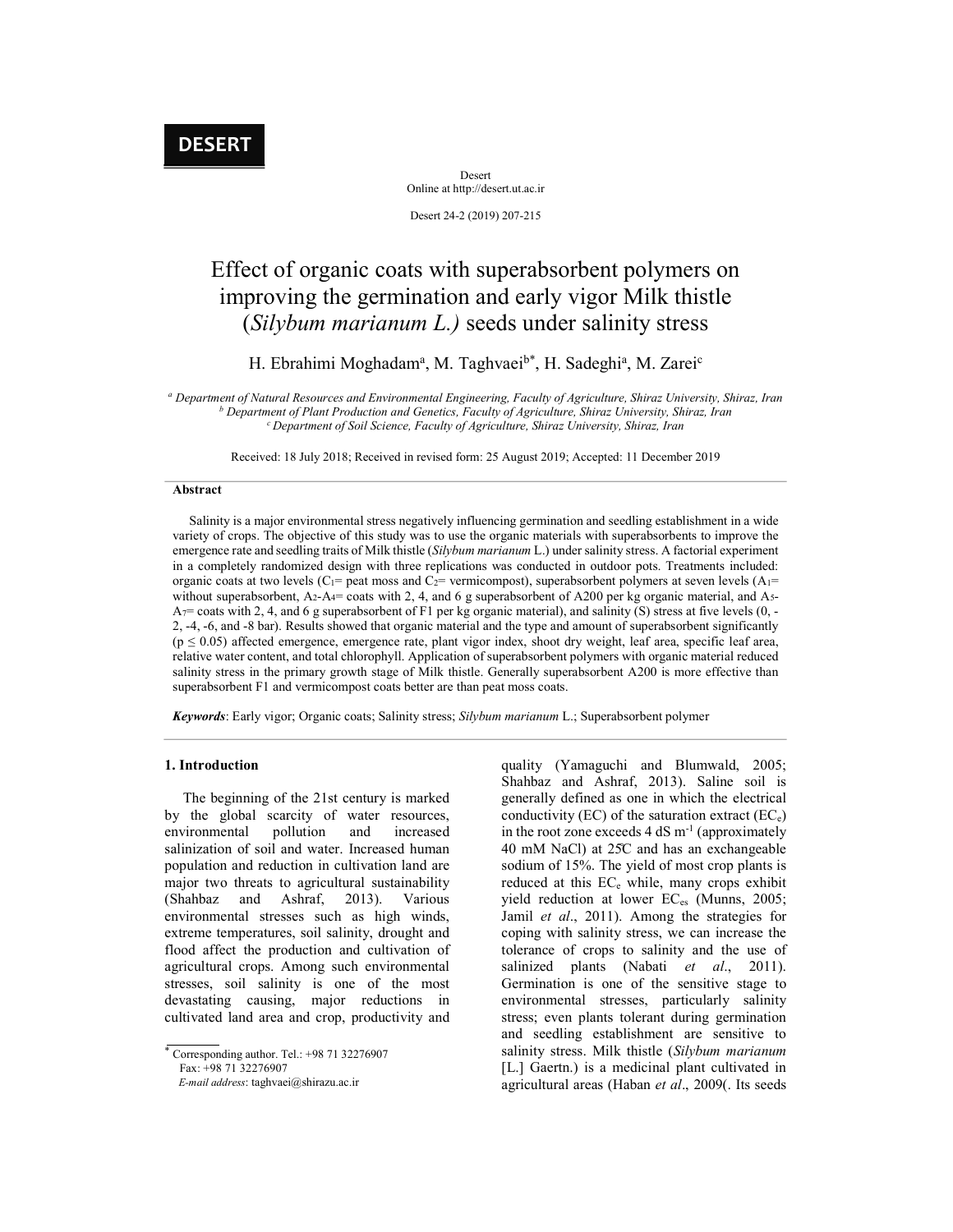Desert Online at http://desert.ut.ac.ir

Desert 24-2 (2019) 207-215

# Effect of organic coats with superabsorbent polymers on improving the germination and early vigor Milk thistle (Silybum marianum L.) seeds under salinity stress

## H. Ebrahimi Moghadam<sup>a</sup>, M. Taghvaei<sup>b\*</sup>, H. Sadeghi<sup>a</sup>, M. Zarei<sup>c</sup>

a Department of Natural Resources and Environmental Engineering, Faculty of Agriculture, Shiraz University, Shiraz, Iran <sup>b</sup> Department of Plant Production and Genetics, Faculty of Agriculture, Shiraz University, Shiraz, Iran  $c$  Department of Soil Science, Faculty of Agriculture, Shiraz University, Shiraz, Iran

Received: 18 July 2018; Received in revised form: 25 August 2019; Accepted: 11 December 2019

#### Abstract

 Salinity is a major environmental stress negatively influencing germination and seedling establishment in a wide variety of crops. The objective of this study was to use the organic materials with superabsorbents to improve the emergence rate and seedling traits of Milk thistle (Silybum marianum L.) under salinity stress. A factorial experiment in a completely randomized design with three replications was conducted in outdoor pots. Treatments included: organic coats at two levels ( $C_1$ = peat moss and  $C_2$ = vermicompost), superabsorbent polymers at seven levels ( $A_1$ = without superabsorbent, A<sub>2</sub>-A<sub>4</sub>= coats with 2, 4, and 6 g superabsorbent of A200 per kg organic material, and A<sub>5</sub>- $A_7$ = coats with 2, 4, and 6 g superabsorbent of F1 per kg organic material), and salinity (S) stress at five levels (0, -2, -4, -6, and -8 bar). Results showed that organic material and the type and amount of superabsorbent significantly (p ≤ 0.05) affected emergence, emergence rate, plant vigor index, shoot dry weight, leaf area, specific leaf area, relative water content, and total chlorophyll. Application of superabsorbent polymers with organic material reduced salinity stress in the primary growth stage of Milk thistle. Generally superabsorbent A200 is more effective than superabsorbent F1 and vermicompost coats better are than peat moss coats.

Keywords: Early vigor; Organic coats; Salinity stress; Silybum marianum L.; Superabsorbent polymer

## 1. Introduction

 The beginning of the 21st century is marked by the global scarcity of water resources, environmental pollution and increased salinization of soil and water. Increased human population and reduction in cultivation land are major two threats to agricultural sustainability (Shahbaz and Ashraf, 2013). Various environmental stresses such as high winds, extreme temperatures, soil salinity, drought and flood affect the production and cultivation of agricultural crops. Among such environmental stresses, soil salinity is one of the most devastating causing, major reductions in cultivated land area and crop, productivity and

 Corresponding author. Tel.: +98 71 32276907 Fax: +98 71 32276907

E-mail address: taghvaei@shirazu.ac.ir

quality (Yamaguchi and Blumwald, 2005; Shahbaz and Ashraf, 2013). Saline soil is generally defined as one in which the electrical conductivity (EC) of the saturation extract (EC $_e$ ) in the root zone exceeds  $4 dS m^{-1}$  (approximately 40 mM NaCl) at 25̊C and has an exchangeable sodium of 15%. The yield of most crop plants is reduced at this  $EC_e$  while, many crops exhibit yield reduction at lower EC<sub>es</sub> (Munns, 2005; Jamil et al., 2011). Among the strategies for coping with salinity stress, we can increase the tolerance of crops to salinity and the use of salinized plants (Nabati et al., 2011). Germination is one of the sensitive stage to environmental stresses, particularly salinity stress; even plants tolerant during germination and seedling establishment are sensitive to salinity stress. Milk thistle (Silybum marianum [L.] Gaertn.) is a medicinal plant cultivated in agricultural areas (Haban et al., 2009(. Its seeds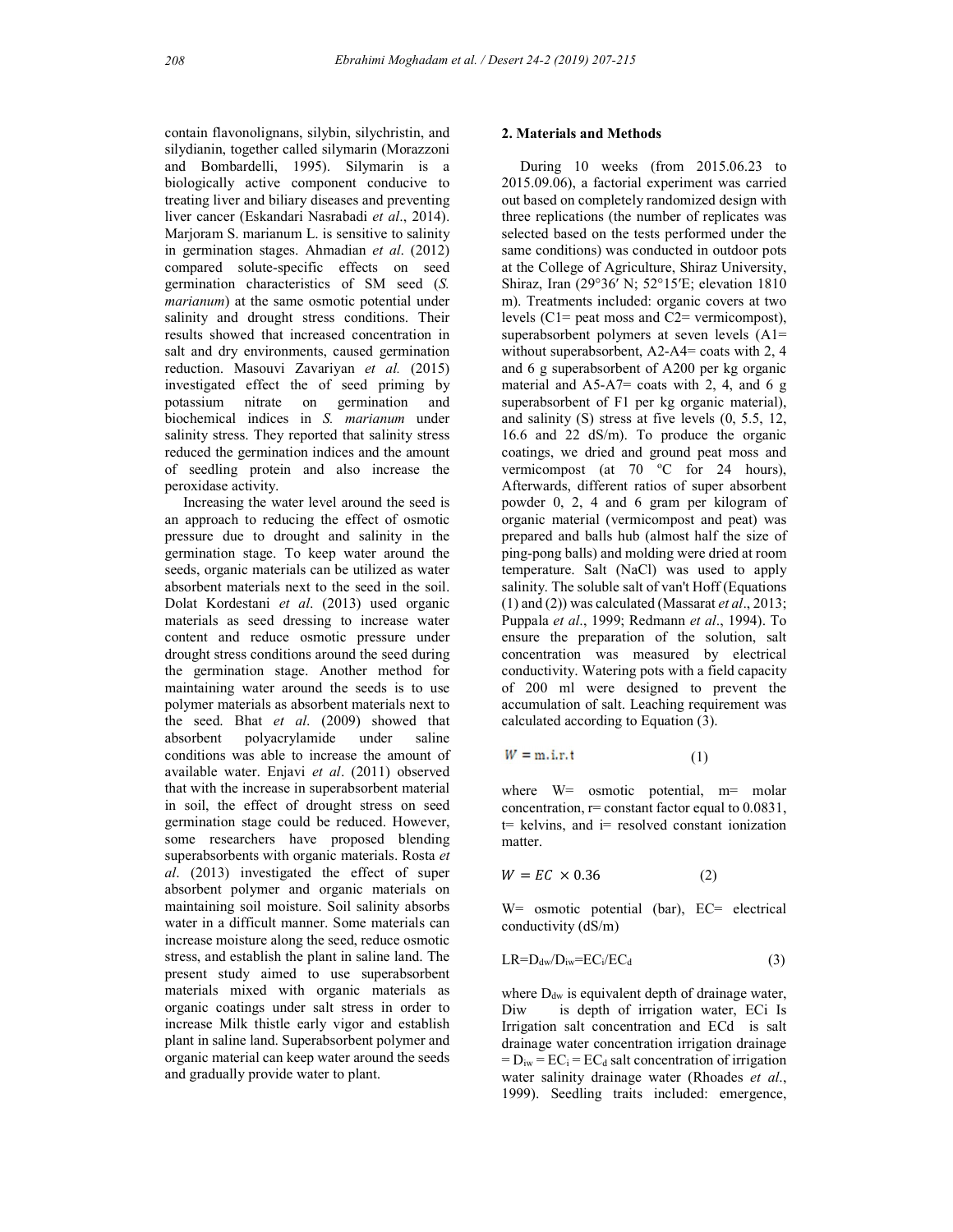contain flavonolignans, silybin, silychristin, and silydianin, together called silymarin (Morazzoni and Bombardelli, 1995). Silymarin is a biologically active component conducive to treating liver and biliary diseases and preventing liver cancer (Eskandari Nasrabadi et al., 2014). Marjoram S. marianum L. is sensitive to salinity in germination stages. Ahmadian et al. (2012) compared solute-specific effects on seed germination characteristics of SM seed (S. marianum) at the same osmotic potential under salinity and drought stress conditions. Their results showed that increased concentration in salt and dry environments, caused germination reduction. Masouvi Zavariyan et al. (2015) investigated effect the of seed priming by potassium nitrate on germination and biochemical indices in S. *marianum* under and salinity salinity stress. They reported that salinity stress reduced the germination indices and the amount of seedling protein and also increase the peroxidase activity.

 Increasing the water level around the seed is an approach to reducing the effect of osmotic pressure due to drought and salinity in the germination stage. To keep water around the seeds, organic materials can be utilized as water absorbent materials next to the seed in the soil. Dolat Kordestani et al. (2013) used organic materials as seed dressing to increase water content and reduce osmotic pressure under drought stress conditions around the seed during the germination stage. Another method for maintaining water around the seeds is to use polymer materials as absorbent materials next to the seed. Bhat et al. (2009) showed that absorbent polyacrylamide under saline conditions was able to increase the amount of available water. Enjavi et al. (2011) observed that with the increase in superabsorbent material in soil, the effect of drought stress on seed germination stage could be reduced. However, some researchers have proposed blending superabsorbents with organic materials. Rosta et al. (2013) investigated the effect of super absorbent polymer and organic materials on maintaining soil moisture. Soil salinity absorbs water in a difficult manner. Some materials can increase moisture along the seed, reduce osmotic stress, and establish the plant in saline land. The present study aimed to use superabsorbent materials mixed with organic materials as organic coatings under salt stress in order to increase Milk thistle early vigor and establish plant in saline land. Superabsorbent polymer and organic material can keep water around the seeds

#### 2. Materials and Methods

 During 10 weeks (from 2015.06.23 to 2015.09.06), a factorial experiment was carried out based on completely randomized design with three replications (the number of replicates was selected based on the tests performed under the same conditions) was conducted in outdoor pots at the College of Agriculture, Shiraz University, Shiraz, Iran (29°36′ N; 52°15′E; elevation 1810 m). Treatments included: organic covers at two levels (C1= peat moss and C2= vermicompost), superabsorbent polymers at seven levels (A1= without superabsorbent, A2-A4= coats with 2, 4 and 6 g superabsorbent of A200 per kg organic material and  $A5-A7=$  coats with 2, 4, and 6 g superabsorbent of F1 per kg organic material), and salinity (S) stress at five levels (0, 5.5, 12, 16.6 and 22 dS/m). To produce the organic coatings, we dried and ground peat moss and vermicompost (at  $70$  °C for 24 hours), Afterwards, different ratios of super absorbent powder 0, 2, 4 and 6 gram per kilogram of organic material (vermicompost and peat) was prepared and balls hub (almost half the size of ping-pong balls) and molding were dried at room temperature. Salt (NaCl) was used to apply salinity. The soluble salt of van't Hoff (Equations (1) and (2)) was calculated (Massarat *et al.*, 2013; Puppala et al., 1999; Redmann et al., 1994). To ensure the preparation of the solution, salt concentration was measured by electrical conductivity. Watering pots with a field capacity of 200 ml were designed to prevent the accumulation of salt. Leaching requirement was calculated according to Equation (3). Alterwards, directer tantos of super absorbent<br>powder 0, 2, 4 and 6 gram per kilogram of<br>organic material (vermicompost and peat) was<br>prepared and balls hub (almost half the size of<br>ping-pong balls) and molding were dried

$$
W = \text{m.i.r.t} \tag{1}
$$

where W= osmotic potential, m= molar concentration,  $r=$  constant factor equal to  $0.0831$ ,  $t=$  kelvins, and  $i=$  resolved constant ionization matter.

$$
W = EC \times 0.36 \tag{2}
$$

 $W=$  osmotic potential (bar),  $EC=$  electrical conductivity (dS/m)

$$
LR = D_{dw}/D_{iw} = EC_i/EC_d \tag{3}
$$

and gradually provide water to plant. water salinity drainage water (Rhoades et al., where  $D_{dw}$  is equivalent depth of drainage water, is depth of irrigation water, ECi Is Irrigation salt concentration and ECd is salt drainage water concentration irrigation drainage  $= D_{iw} = EC_i = EC_d$  salt concentration of irrigation 1999). Seedling traits included: emergence,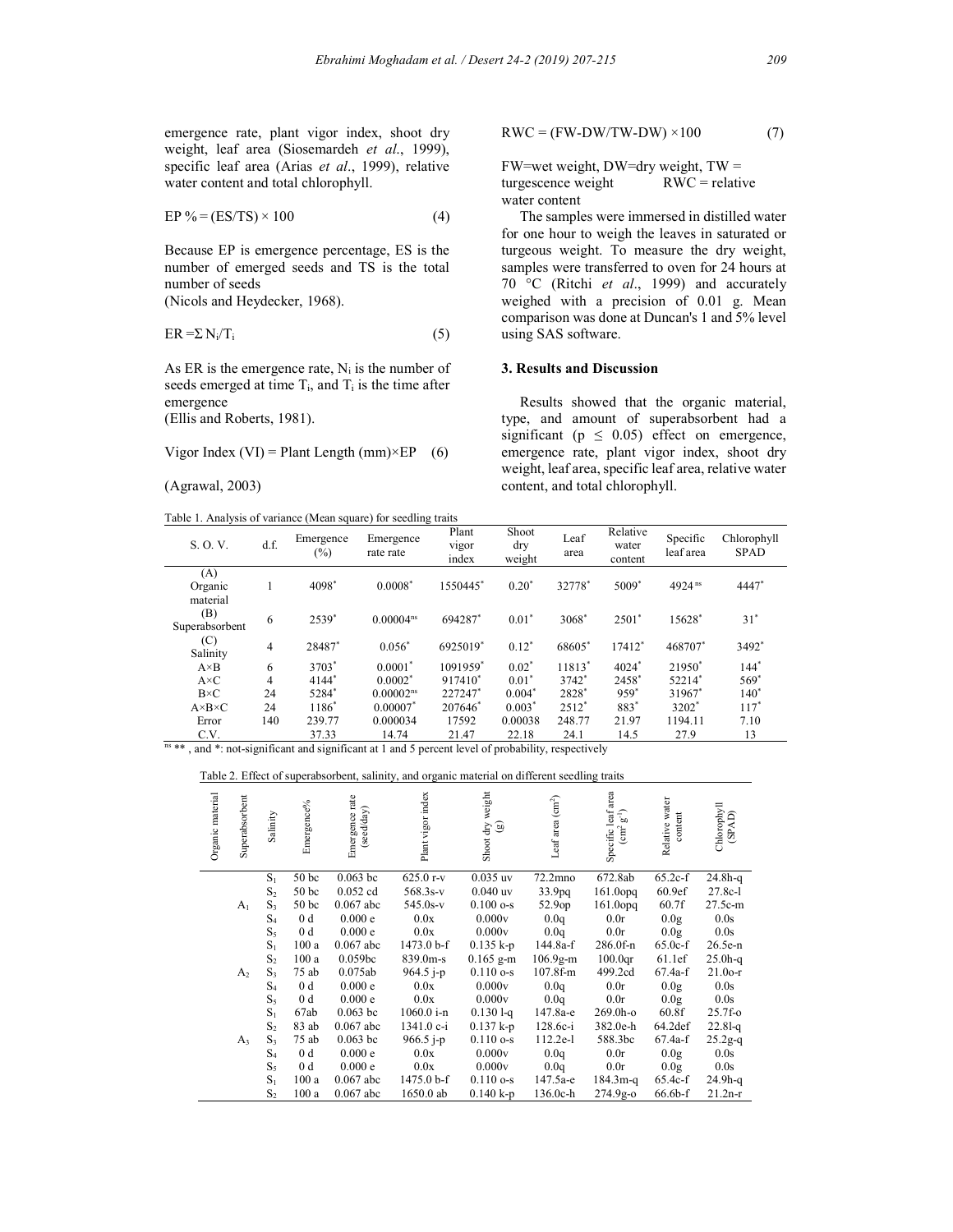emergence rate, plant vigor index, shoot dry weight, leaf area (Siosemardeh et al., 1999), specific leaf area (Arias et al., 1999), relative water content and total chlorophyll.

$$
EP\% = (ES/TS) \times 100\tag{4}
$$

Because EP is emergence percentage, ES is the number of emerged seeds and TS is the total number of seeds

(Nicols and Heydecker, 1968).

$$
ER = \sum N_i/T_i \tag{5}
$$

As ER is the emergence rate,  $N_i$  is the number of seeds emerged at time  $T_i$ , and  $T_i$  is the time after emergence

(Ellis and Roberts, 1981).

Vigor Index (VI) = Plant Length (mm) $\times EP$  (6)

(Agrawal, 2003)

Table 1. Analysis of variance (Mean square) for seedling traits

$$
RWC = (FW-DW/TW-DW) \times 100 \tag{7}
$$

FW=wet weight, DW=dry weight, TW = turgescence weight  $RWC$  = relative turgescence weight water content

 The samples were immersed in distilled water for one hour to weigh the leaves in saturated or turgeous weight. To measure the dry weight, samples were transferred to oven for 24 hours at 70 °C (Ritchi et al., 1999) and accurately weighed with a precision of 0.01 g. Mean comparison was done at Duncan's 1 and 5% level using SAS software.

## 3. Results and Discussion

 Results showed that the organic material, type, and amount of superabsorbent had a significant ( $p \leq 0.05$ ) effect on emergence, emergence rate, plant vigor index, shoot dry weight, leaf area, specific leaf area, relative water content, and total chlorophyll.

| S. O. V.                   | d.f.           | Emergence<br>(%)  | Emergence<br>rate rate | Plant<br>vigor<br>index | Shoot<br>dry<br>weight | Leaf<br>area      | Relative<br>water<br>content | Specific<br>leaf area | Chlorophyll<br><b>SPAD</b> |
|----------------------------|----------------|-------------------|------------------------|-------------------------|------------------------|-------------------|------------------------------|-----------------------|----------------------------|
| (A)<br>Organic<br>material |                | 4098*             | $0.0008*$              | 1550445*                | $0.20*$                | 32778*            | $5009*$                      | 4924 ns               | 4447*                      |
| (B)<br>Superabsorbent      | 6              | 2539*             | $0.00004^{ns}$         | 694287*                 | $0.01*$                | 3068*             | $2501*$                      | 15628*                | $31^*$                     |
| (C)<br>Salinity            | 4              | 28487*            | $0.056*$               | 6925019*                | $0.12^*$               | 68605*            | 17412*                       | 468707*               | 3492*                      |
| $A \times B$               | 6              | 3703 <sup>*</sup> | $0.0001^*$             | 1091959*                | $0.02^*$               | 11813*            | $4024*$                      | 21950 <sup>*</sup>    | $144*$                     |
| $A \times C$               | $\overline{4}$ | $4144*$           | $0.0002^*$             | 917410*                 | $0.01^*$               | 3742 <sup>*</sup> | 2458 <sup>*</sup>            | 52214*                | $569*$                     |
| $B\times C$                | 24             | 5284*             | $0.00002^{ns}$         | 227247*                 | $0.004*$               | 2828*             | $959*$                       | 31967*                | $140*$                     |
| $A \times B \times C$      | 24             | $1186*$           | $0.00007$ *            | 207646*                 | $0.003*$               | $2512*$           | 883*                         | 3202 <sup>*</sup>     | $117*$                     |
| Error                      | 140            | 239.77            | 0.000034               | 17592                   | 0.00038                | 248.77            | 21.97                        | 1194.11               | 7.10                       |
| C.V.                       |                | 37.33             | 14.74                  | 21.47                   | 22.18                  | 24.1              | 14.5                         | 27.9                  | 13                         |

 $n<sup>ns</sup>$  , and \*: not-significant and significant at 1 and 5 percent level of probability, respectively

Table 2. Effect of superabsorbent, salinity, and organic material on different seedling traits

| Organic material | Superabsorbent | Salinity | Emergence%       | Emergence rate<br>(seed/day) | Plant vigor index | Shoot dry weight<br>$\circledcirc$ | Leaf area (cm <sup>2</sup> ) | area<br>Specific leaf<br>$\mathbf{g}^{-1})$<br>$\left(\text{cm}^2\right)$ | Relative water<br>content | ${\bf Chlorophyll}$ (SPAD) |
|------------------|----------------|----------|------------------|------------------------------|-------------------|------------------------------------|------------------------------|---------------------------------------------------------------------------|---------------------------|----------------------------|
|                  |                | $S_1$    | 50 <sub>bc</sub> | $0.063$ bc                   | $625.0r-v$        | $0.035$ uv                         | 72.2mno                      | 672.8ab                                                                   | $65.2c-f$                 | $24.8h-g$                  |
|                  |                | $S_2$    | 50 <sub>bc</sub> | $0.052$ cd                   | $568.3s-v$        | $0.040$ uv                         | 33.9pq                       | $161.0$ opq                                                               | 60.9ef                    | $27.8c-1$                  |
|                  | A <sub>1</sub> | $S_3$    | 50 <sub>bc</sub> | $0.067$ abc                  | $545.0s-v$        | $0.100$ o-s                        | 52.9op                       | $161.0$ opq                                                               | 60.7f                     | 27.5c-m                    |
|                  |                | $S_4$    | 0 <sub>d</sub>   | 0.000 e                      | 0.0x              | 0.000v                             | 0.0q                         | 0.0r                                                                      | 0.0 <sub>g</sub>          | 0.0 <sub>s</sub>           |
|                  |                | $S_5$    | 0 d              | 0.000e                       | 0.0x              | 0.000v                             | 0.0q                         | 0.0r                                                                      | 0.0 <sub>g</sub>          | 0.0s                       |
|                  |                | $S_1$    | 100a             | $0.067$ abc                  | 1473.0 b-f        | $0.135 k-p$                        | 144.8a-f                     | 286.0f-n                                                                  | $65.0c-f$                 | $26.5e-n$                  |
|                  |                | $S_2$    | 100a             | 0.059bc                      | 839.0m-s          | $0.165$ g-m                        | $106.9g-m$                   | 100.0 <sub>qr</sub>                                                       | 61.1ef                    | $25.0h-g$                  |
|                  | A <sub>2</sub> | $S_3$    | 75 ab            | 0.075ab                      | $964.5$ j-p       | $0.110$ o-s                        | $107.8f-m$                   | 499.2cd                                                                   | $67.4a-f$                 | $21.00-r$                  |
|                  |                | $S_4$    | 0 <sub>d</sub>   | 0.000e                       | 0.0x              | 0.000v                             | 0.0q                         | 0.0r                                                                      | 0.0 <sub>g</sub>          | 0.0s                       |
|                  |                | $S_5$    | 0 d              | 0.000e                       | 0.0x              | 0.000v                             | 0.0q                         | 0.0r                                                                      | 0.0 <sub>g</sub>          | 0.0s                       |
|                  |                | $S_1$    | 67ab             | $0.063$ bc                   | $1060.0 i-n$      | $0.1301 - q$                       | 147.8a-e                     | $269.0h-o$                                                                | 60.8f                     | $25.7f - o$                |
|                  |                | $S_2$    | 83 ab            | $0.067$ abc                  | $1341.0c-i$       | $0.137 k-p$                        | 128.6c-i                     | 382.0e-h                                                                  | 64.2 <sub>def</sub>       | $22.81 - q$                |
|                  | $A_3$          | $S_3$    | 75 ab            | $0.063$ bc                   | $966.5$ j-p       | $0.110$ o-s                        | 112.2e-l                     | 588.3bc                                                                   | $67.4a-f$                 | $25.2g - q$                |
|                  |                | $S_4$    | 0 d              | 0.000 e                      | 0.0x              | 0.000v                             | 0.0q                         | 0.0r                                                                      | 0.0 <sub>g</sub>          | 0.0 <sub>s</sub>           |
|                  |                | $S_5$    | 0 <sub>d</sub>   | 0.000e                       | 0.0x              | 0.000v                             | 0.0q                         | 0.0r                                                                      | 0.0 <sub>g</sub>          | 0.0s                       |
|                  |                | $S_1$    | 100a             | $0.067$ abc                  | 1475.0 b-f        | $0.110$ o-s                        | 147.5a-e                     | $184.3m - q$                                                              | $65.4c-f$                 | $24.9h-g$                  |
|                  |                | $S_2$    | 100a             | $0.067$ abc                  | 1650.0 ab         | $0.140 k-p$                        | 136.0c-h                     | $274.9g - 0$                                                              | $66.6b - f$               | $21.2n-r$                  |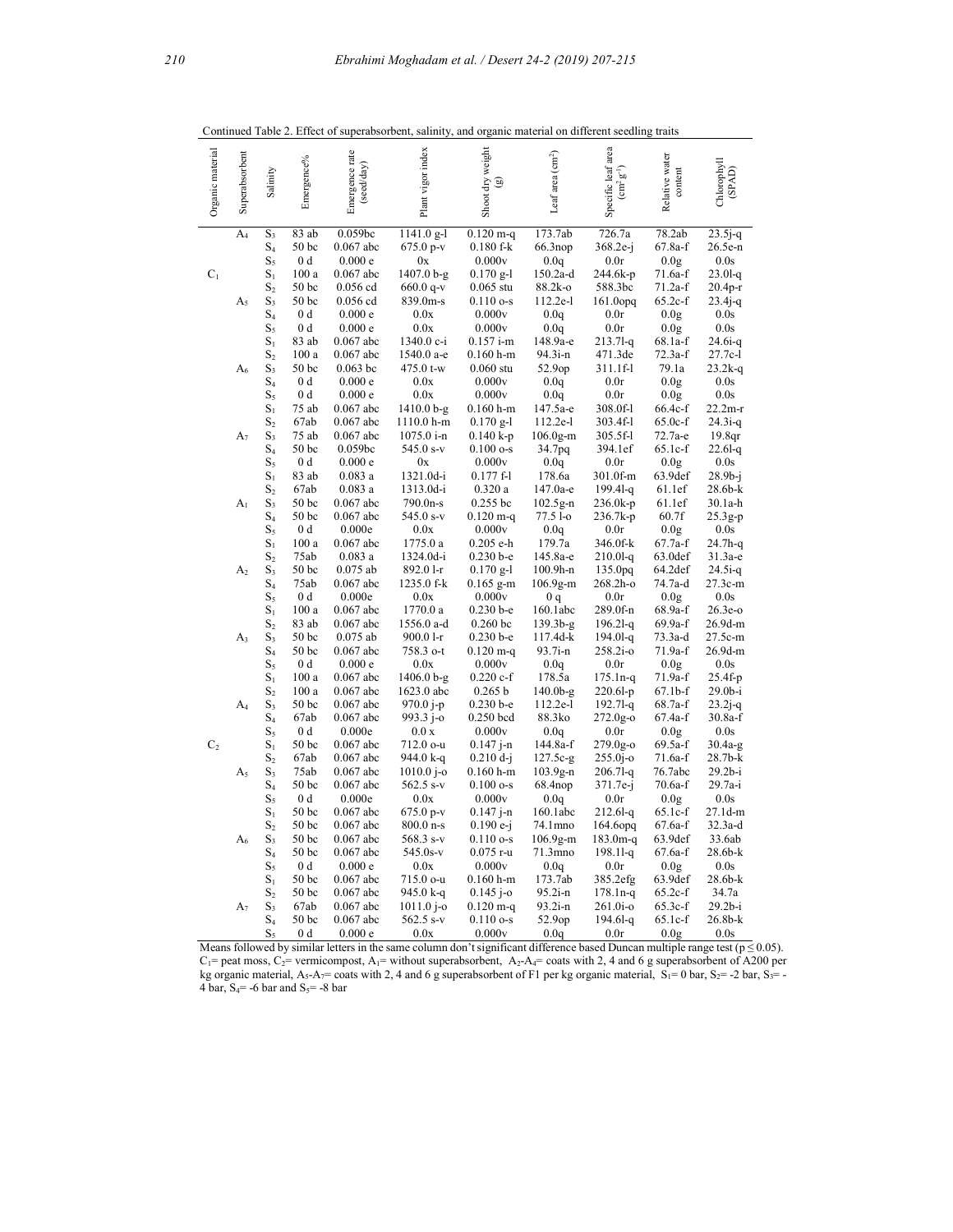| Organic material | Superabsorbent | Salinity       | Emergence%               | Emergence rate<br>(seed/day) | Plant vigor index         | Shoot dry weight<br>ම | Leaf area (cm <sup>2</sup> ) | Specific leaf area<br>$g^1$<br>$\text{cm}^2$ | Relative water<br>content | ${\it Chlorophyll}$ (SPAD) |
|------------------|----------------|----------------|--------------------------|------------------------------|---------------------------|-----------------------|------------------------------|----------------------------------------------|---------------------------|----------------------------|
|                  | $A_4$          | $S_3$          | 83 ab                    | 0.059bc                      | $1141.0$ g-l              | $0.120$ m-q           | 173.7ab                      | 726.7a                                       | 78.2ab                    | $23.5j - q$                |
|                  |                | $S_4$          | 50 <sub>bc</sub>         | $0.067$ abc                  | $675.0 p-v$               | $0.180$ f-k           | 66.3nop                      | $368.2e-i$                                   | 67.8a-f                   | 26.5e-n                    |
|                  |                | $S_5$          | 0 <sub>d</sub>           | 0.000e                       | 0x                        | 0.000v                | 0.0q                         | 0.0r                                         | 0.0g                      | 0.0s                       |
| $C_1$            |                | $S_1$          | 100a                     | $0.067$ abc                  | $1407.0 b-g$              | $0.170$ g-l           | $150.2a-d$                   | 244.6k-p                                     | $71.6a-f$                 | $23.01 - q$                |
|                  |                | $S_2$          | 50 <sub>bc</sub>         | $0.056$ cd                   | $660.0$ q-v               | $0.065$ stu           | 88.2k-o                      | 588.3bc                                      | $71.2a-f$                 | $20.4p-r$                  |
|                  | $A_5$          | $S_3$          | 50 <sub>bc</sub>         | $0.056$ cd                   | 839.0m-s                  | $0.110o-s$            | 112.2e-l                     | $161.0$ opq                                  | $65.2c-f$                 | $23.4j - q$                |
|                  |                | $S_4$          | 0 <sub>d</sub>           | 0.000e                       | 0.0x                      | 0.000v                | 0.0q                         | 0.0r                                         | 0.0g                      | 0.0s                       |
|                  |                | $S_5$          | 0 <sub>d</sub>           | 0.000e                       | 0.0x                      | 0.000v                | 0.0q                         | 0.0r                                         | 0.0 <sub>g</sub>          | 0.0s                       |
|                  |                | $S_1$          | 83 ab                    | $0.067$ abc                  | 1340.0 c-i                | $0.157$ i-m           | 148.9a-e                     | $213.71 - q$                                 | 68.1a-f                   | $24.6i-q$                  |
|                  |                | $S_2$          | 100a                     | $0.067$ abc                  | 1540.0 a-e                | $0.160$ h-m           | 94.3i-n                      | 471.3de                                      | $72.3a-f$                 | 27.7c-l                    |
|                  | A6             | $S_3$          | 50 <sub>bc</sub>         | $0.063$ bc                   | 475.0 t-w                 | $0.060$ stu           | 52.9op                       | 311.1f-l                                     | 79.1a                     | $23.2k-q$                  |
|                  |                | $S_4$          | 0 <sub>d</sub>           | 0.000e                       | 0.0x                      | 0.000v                | 0.0q                         | 0.0r                                         | 0.0 <sub>g</sub>          | 0.0s                       |
|                  |                | $S_5$          | 0 <sub>d</sub>           | 0.000e                       | 0.0x                      | 0.000v                | 0.0q                         | 0.0r                                         | 0.0 <sub>g</sub>          | 0.0s                       |
|                  |                | $S_1$          | 75 ab                    | $0.067$ abc                  | 1410.0 b-g                | $0.160 h$ -m          | 147.5a-e                     | 308.0f-l                                     | 66.4c-f                   | $22.2m-r$                  |
|                  |                | $S_2$          | 67ab                     | $0.067$ abc                  | 1110.0 h-m                | $0.170$ g-l           | 112.2e-l                     | 303.4f-l                                     | $65.0c-f$                 | $24.3i-q$                  |
|                  | $A_7$          | $S_3$          | 75 ab                    | $0.067$ abc                  | 1075.0 i-n                | $0.140 k-p$           | $106.0g-m$                   | 305.5f-l                                     | 72.7а-е                   | 19.8 <sub>qr</sub>         |
|                  |                | $S_4$          | 50 <sub>bc</sub>         | 0.059bc                      | 545.0 s-v                 | $0.100$ o-s           | 34.7pq                       | 394.1ef                                      | $65.1c-f$                 | $22.61 - q$                |
|                  |                | $S_5$          | 0 <sub>d</sub>           | 0.000e                       | 0x                        | 0.000v                | 0.0q                         | 0.0r                                         | 0.0 <sub>g</sub>          | 0.0s                       |
|                  |                | $S_1$          | 83 ab                    | 0.083a                       | 1321.0d-i                 | $0.177 f-1$           | 178.6a                       | 301.0f-m                                     | 63.9def                   | $28.9b-i$                  |
|                  |                | $S_2$          | 67ab                     | 0.083a                       | 1313.0d-i                 | 0.320a                | 147.0a-e                     | $199.41 - q$                                 | 61.1ef                    | $28.6b-k$                  |
|                  | A <sub>1</sub> | $S_3$          | 50 <sub>bc</sub>         | $0.067$ abc                  | 790.0n-s                  | $0.255$ bc            | $102.5g-n$                   | $236.0k-p$                                   | 61.1ef                    | 30.1a-h                    |
|                  |                | $S_4$          | 50 <sub>bc</sub>         | $0.067$ abc                  | 545.0 s-v                 | $0.120$ m-q           | 77.5 l-o                     | 236.7k-p                                     | 60.7f                     | $25.3g-p$                  |
|                  |                | $S_5$          | 0 <sub>d</sub>           | 0.000e                       | 0.0x                      | 0.000v                | 0.0q                         | 0.0r                                         | 0.0 <sub>g</sub>          | 0.0s                       |
|                  |                | $S_1$          | 100a                     | $0.067$ abc                  | 1775.0 a                  | $0.205$ e-h           | 179.7a                       | 346.0f-k                                     | 67.7a-f                   | $24.7h-g$                  |
|                  |                | $S_2$          | 75ab                     | 0.083a                       | 1324.0d-i                 | $0.230 b - e$         | 145.8a-e                     | $210.01 - q$                                 | 63.0def                   | $31.3a-e$                  |
|                  | A <sub>2</sub> | $S_3$          | 50 <sub>bc</sub>         | $0.075$ ab                   | 892.0 l-r                 | $0.170$ g-l           | $100.9h-n$                   | 135.0 <sub>pq</sub>                          | 64.2def                   | $24.5i-q$                  |
|                  |                | $S_4$          | 75ab                     | $0.067$ abc                  | 1235.0 f-k                | $0.165$ g-m           | $106.9g-m$                   | 268.2h-o                                     | 74.7a-d                   | 27.3c-m                    |
|                  |                | $S_5$          | 0 <sub>d</sub>           | 0.000e                       | 0.0x                      | 0.000v                | 0q                           | 0.0r                                         | 0.0 <sub>g</sub>          | 0.0s                       |
|                  |                | $S_1$          | 100a                     | $0.067$ abc                  | 1770.0 a                  | $0.230 b - e$         | 160.1abc                     | 289.0f-n                                     | 68.9a-f                   | $26.3e-o$                  |
|                  |                | $S_2$          | 83 ab                    | $0.067$ abc                  | 1556.0 a-d                | $0.260$ bc            | 139.3b-g                     | $196.21 - a$                                 | 69.9a-f                   | 26.9d-m                    |
|                  | $A_3$          | $S_3$          | 50 <sub>bc</sub>         | $0.075$ ab                   | 900.0 l-r                 | $0.230 b - e$         | 117.4d-k                     | $194.01-q$                                   | 73.3a-d                   | 27.5c-m                    |
|                  |                | $S_4$          | 50 <sub>bc</sub>         | $0.067$ abc                  | 758.3 o-t                 | $0.120$ m-q           | 93.7i-n                      | 258.2i-o                                     | 71.9a-f                   | 26.9d-m                    |
|                  |                | $S_5$          | $0\ \mathrm{d}$          | 0.000e                       | 0.0x                      | 0.000v                | 0.0q                         | 0.0r                                         | 0.0 <sub>g</sub>          | 0.0s                       |
|                  |                | $S_1$          | 100a                     | $0.067$ abc                  | 1406.0 b-g                | $0.220c-f$<br>0.265 b | $178.\bar{5}a$<br>$140.0b-g$ | $175.1n - q$                                 | 71.9a-f<br>67.1b-f        | $25.4f-p$<br>$29.0b-i$     |
|                  |                | $S_2$          | 100a<br>50 <sub>bc</sub> | $0.067$ abc<br>$0.067$ abc   | 1623.0 abc<br>$970.0$ j-p | $0.230 b - e$         | 112.2e-l                     | $220.61-p$<br>$192.71 - q$                   | 68.7a-f                   |                            |
|                  | $A_4$          | $S_3$<br>$S_4$ | 67ab                     | $0.067$ abc                  | 993.3 j-o                 | $0.250$ bcd           | 88.3ko                       | $272.0g-o$                                   | 67.4a-f                   | $23.2j - q$<br>$30.8a-f$   |
|                  |                | $S_5$          | 0 <sub>d</sub>           | 0.000e                       | 0.0 x                     | 0.000v                | 0.0q                         | 0.0r                                         | 0.0 <sub>g</sub>          | 0.0s                       |
| C <sub>2</sub>   |                | $S_1$          | 50 <sub>bc</sub>         | $0.067$ abc                  | 712.0 o-u                 | $0.147$ j-n           | 144.8a-f                     | $279.0g - o$                                 | $69.5a-f$                 | $30.4a-g$                  |
|                  |                | $S_2$          | 67ab                     | $0.067$ abc                  | 944.0 k-q                 | $0.210 d - j$         | $127.5c-g$                   | $255.0j - 0$                                 | $71.6a-f$                 | $28.7b-k$                  |
|                  | $A_5$          | $S_3$          | 75ab                     | $0.067$ abc                  | $1010.0$ j-o              | $0.160$ h-m           | $103.9g-n$                   | $206.71 - q$                                 | 76.7abc                   | $29.2b-i$                  |
|                  |                | $S_4$          | 50 <sub>bc</sub>         | $0.067$ abc                  | 562.5 s-v                 | $0.100$ o-s           | 68.4nop                      | 371.7e-j                                     | $70.6a-f$                 | 29.7a-i                    |
|                  |                | $S_5$          | 0 <sub>d</sub>           | 0.000e                       | 0.0x                      | 0.000v                | 0.0q                         | 0.0r                                         | 0.0g                      | 0.0s                       |
|                  |                | $S_1$          | 50 <sub>bc</sub>         | $0.067$ abc                  | $675.0 p-v$               | $0.147$ j-n           | 160.1abc                     | $212.61 - q$                                 | $65.1c-f$                 | 27.1d-m                    |
|                  |                | $S_2$          | 50 <sub>bc</sub>         | $0.067$ abc                  | 800.0 n-s                 | $0.190e-i$            | 74.1mno                      | $164.6$ opq                                  | $67.6a-f$                 | $32.3a-d$                  |
|                  | $A_6$          | $S_3$          | 50 <sub>bc</sub>         | $0.067$ abc                  | $568.3 s-v$               | $0.110o-s$            | $106.9g-m$                   | $183.0m - q$                                 | 63.9def                   | 33.6ab                     |
|                  |                | $S_4$          | 50 <sub>bc</sub>         | $0.067$ abc                  | 545.0s-v                  | $0.075$ r-u           | 71.3mno                      | $198.11 - q$                                 | 67.6a-f                   | $28.6b-k$                  |
|                  |                | $S_5$          | 0 <sub>d</sub>           | 0.000e                       | 0.0x                      | 0.000v                | 0.0q                         | 0.0r                                         | 0.0 <sub>g</sub>          | 0.0s                       |
|                  |                | $S_1$          | 50 <sub>bc</sub>         | $0.067$ abc                  | 715.0 o-u                 | $0.160$ h-m           | 173.7ab                      | 385.2efg                                     | 63.9def                   | 28.6b-k                    |
|                  |                | $S_2$          | 50 <sub>bc</sub>         | $0.067$ abc                  | 945.0 k-q                 | $0.145$ j-o           | $95.2i-n$                    | $178.1n - q$                                 | $65.2c-f$                 | 34.7a                      |
|                  | $A_7$          | $S_3$          | 67ab                     | $0.067$ abc                  | $1011.0$ j-o              | $0.120$ m-q           | $93.2i - n$                  | $261.0i -o$                                  | 65.3c-f                   | $29.2b-i$                  |
|                  |                | $S_4$          | 50 bc                    | $0.067$ abc                  | $562.5 s-v$               | $0.110o-s$            | 52.9op                       | $194.61 - q$                                 | 65.1c-f                   | 26.8b-k                    |
|                  |                | $S_5$          | 0 <sub>d</sub>           | 0.000 e                      | 0.0x                      | 0.000v                | 0.0q                         | 0.0r                                         | 0.0 <sub>g</sub>          | 0.0s                       |

Continued Table 2. Effect of superabsorbent, salinity, and organic material on different seedling traits

Means followed by similar letters in the same column don't significant difference based Duncan multiple range test ( $p \le 0.05$ ).  $C_1$ = peat moss,  $C_2$ = vermicompost, A<sub>1</sub>= without superabsorbent, A<sub>2</sub>-A<sub>4</sub>= coats with 2, 4 and 6 g superabsorbent of A200 per kg organic material,  $A_5-A_7=$  coats with 2, 4 and 6 g superabsorbent of F1 per kg organic material,  $S_1=0$  bar,  $S_2=$  -2 bar,  $S_3=$  -4 bar,  $S_4$ = -6 bar and  $S_5$ = -8 bar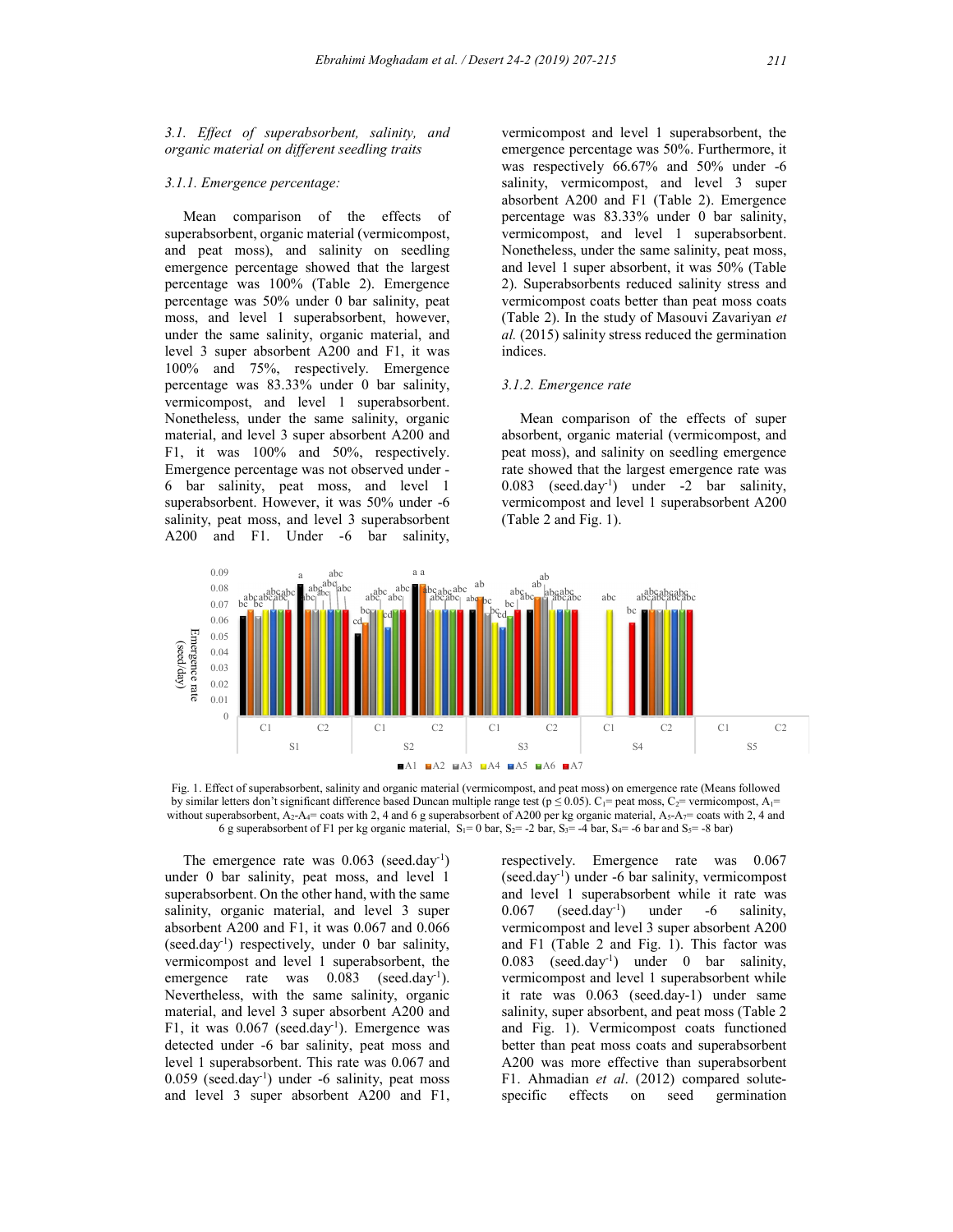3.1. Effect of superabsorbent, salinity, and organic material on different seedling traits

#### 3.1.1. Emergence percentage:

 Mean comparison of the effects of superabsorbent, organic material (vermicompost, and peat moss), and salinity on seedling emergence percentage showed that the largest percentage was 100% (Table 2). Emergence percentage was 50% under 0 bar salinity, peat moss, and level 1 superabsorbent, however, under the same salinity, organic material, and level 3 super absorbent A200 and F1, it was 100% and 75%, respectively. Emergence percentage was 83.33% under 0 bar salinity, vermicompost, and level 1 superabsorbent. Nonetheless, under the same salinity, organic material, and level 3 super absorbent A200 and F1, it was 100% and 50%, respectively. Emergence percentage was not observed under - 6 bar salinity, peat moss, and level 1 superabsorbent. However, it was 50% under -6 salinity, peat moss, and level 3 superabsorbent A200 and F1. Under -6 bar salinity,

salarity, vermicompost, and level 3 super-<br>absorbent A200 and F1 (Table 2). Emergence<br>percentage was 83.33% under 0 bar salinity,<br>vermicompost, and level 1 superabsorbent.<br>Nonetheless, under the same salinity, peat moss,<br> vermicompost and level 1 superabsorbent, the emergence percentage was 50%. Furthermore, it was respectively 66.67% and 50% under -6 salinity, vermicompost, and level 3 super absorbent A200 and F1 (Table 2). Emergence percentage was 83.33% under 0 bar salinity, vermicompost, and level 1 superabsorbent. Nonetheless, under the same salinity, peat moss, and level 1 super absorbent, it was 50% (Table 2). Superabsorbents reduced salinity stress and vermicompost coats better than peat moss coats (Table 2). In the study of Masouvi Zavariyan et al. (2015) salinity stress reduced the germination indices.

#### 3.1.2. Emergence rate

 Mean comparison of the effects of super absorbent, organic material (vermicompost, and peat moss), and salinity on seedling emergence rate showed that the largest emergence rate was 0.083 (seed.day-1) under -2 bar salinity, vermicompost and level 1 superabsorbent A200 (Table 2 and Fig. 1).



Fig. 1. Effect of superabsorbent, salinity and organic material (vermicompost, and peat moss) on emergence rate (Means followed by similar letters don't significant difference based Duncan multiple range test ( $p \le 0.05$ ).  $C_1$ = peat moss,  $C_2$ = vermicompost,  $A_1$ = without superabsorbent,  $A_2$ - $A_4$ = coats with 2, 4 and 6 g superabsorbent of A 6 g superabsorbent of F1 per kg organic material,  $S_1 = 0$  bar,  $S_2 = -2$  bar,  $S_3 = -4$  bar,  $S_4 = -6$  bar and  $S_5 = -8$  bar)

The emergence rate was  $0.063$  (seed.day<sup>-1</sup>) under 0 bar salinity, peat moss, and level 1 superabsorbent. On the other hand, with the same salinity, organic material, and level 3 super 0.067 absorbent A200 and F1, it was 0.067 and 0.066 (seed.day<sup>-1</sup>) respectively, under 0 bar salinity, vermicompost and level 1 superabsorbent, the emergence rate was  $0.083$  (seed.day<sup>-1</sup>). Nevertheless, with the same salinity, organic material, and level 3 super absorbent A200 and F1, it was  $0.067$  (seed.day<sup>-1</sup>). Emergence was detected under -6 bar salinity, peat moss and level 1 superabsorbent. This rate was 0.067 and 0.059 (seed.day-1) under -6 salinity, peat moss and level 3 super absorbent A200 and F1,

respectively. Emergence rate was 0.067 (seed.day<sup>-1</sup>) under -6 bar salinity, vermicompost and level 1 superabsorbent while it rate was  $\text{(seed-day}^1)$  under -6 salinity, vermicompost and level 3 super absorbent A200 and F1 (Table 2 and Fig. 1). This factor was 0.083 (seed.day-1) under 0 bar salinity, vermicompost and level 1 superabsorbent while it rate was 0.063 (seed.day-1) under same salinity, super absorbent, and peat moss (Table 2 and Fig. 1). Vermicompost coats functioned better than peat moss coats and superabsorbent A200 was more effective than superabsorbent F1. Ahmadian et al. (2012) compared soluteeffects on seed germination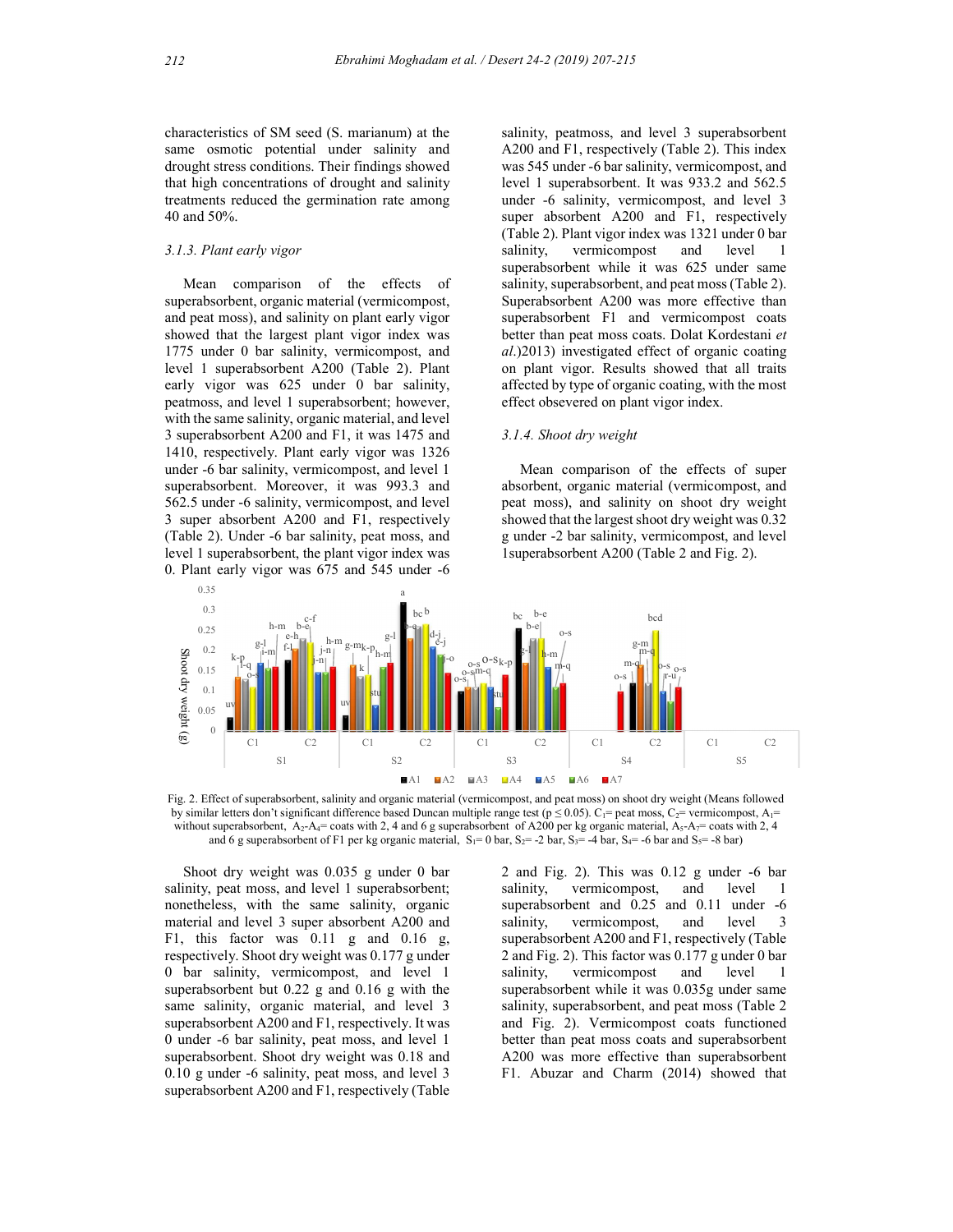characteristics of SM seed (S. marianum) at the same osmotic potential under salinity and drought stress conditions. Their findings showed that high concentrations of drought and salinity treatments reduced the germination rate among 40 and 50%.

#### 3.1.3. Plant early vigor

 Mean comparison of the effects of superabsorbent, organic material (vermicompost, and peat moss), and salinity on plant early vigor showed that the largest plant vigor index was 1775 under 0 bar salinity, vermicompost, and level 1 superabsorbent A200 (Table 2). Plant early vigor was 625 under 0 bar salinity, peatmoss, and level 1 superabsorbent; however, with the same salinity, organic material, and level 3 superabsorbent A200 and F1, it was 1475 and 1410, respectively. Plant early vigor was 1326 under -6 bar salinity, vermicompost, and level 1 superabsorbent. Moreover, it was 993.3 and 562.5 under -6 salinity, vermicompost, and level 3 super absorbent A200 and F1, respectively (Table 2). Under -6 bar salinity, peat moss, and level 1 superabsorbent, the plant vigor index was 0. Plant early vigor was 675 and 545 under -6

salinity, peatmoss, and level 3 superabsorbent A200 and F1, respectively (Table 2). This index was 545 under -6 bar salinity, vermicompost, and level 1 superabsorbent. It was 933.2 and 562.5 under -6 salinity, vermicompost, and level 3 super absorbent A200 and F1, respectively (Table 2). Plant vigor index was 1321 under 0 bar salinity, vermicompost and level superabsorbent while it was 625 under same salinity, superabsorbent, and peat moss (Table 2). Superabsorbent A200 was more effective than superabsorbent F1 and vermicompost coats better than peat moss coats. Dolat Kordestani et al.)2013) investigated effect of organic coating on plant vigor. Results showed that all traits affected by type of organic coating, with the most effect obsevered on plant vigor index.

## 3.1.4. Shoot dry weight

 Mean comparison of the effects of super absorbent, organic material (vermicompost, and peat moss), and salinity on shoot dry weight showed that the largest shoot dry weight was 0.32 g under -2 bar salinity, vermicompost, and level 1superabsorbent A200 (Table 2 and Fig. 2).



by similar letters don't significant difference based Duncan multiple range test ( $p \le 0.05$ ).  $C_1$ = peat moss,  $C_2$ = vermicompost,  $A_1$ = without superabsorbent,  $A_2$ - $A_4$ = coats with 2, 4 and 6 g superabsorbent of A and 6 g superabsorbent of F1 per kg organic material,  $S_1 = 0$  bar,  $S_2 = -2$  bar,  $S_3 = -4$  bar,  $S_4 = -6$  bar and  $S_5 = -8$  bar)

 Shoot dry weight was 0.035 g under 0 bar salinity, peat moss, and level 1 superabsorbent; salinity, nonetheless, with the same salinity, organic material and level 3 super absorbent A200 and F1, this factor was 0.11 g and 0.16 g, respectively. Shoot dry weight was 0.177 g under 0 bar salinity, vermicompost, and level 1 superabsorbent but 0.22 g and 0.16 g with the same salinity, organic material, and level 3 superabsorbent A200 and F1, respectively. It was 0 under -6 bar salinity, peat moss, and level 1 superabsorbent. Shoot dry weight was 0.18 and 0.10 g under -6 salinity, peat moss, and level 3 superabsorbent A200 and F1, respectively (Table

2 and Fig. 2). This was 0.12 g under -6 bar vermicompost, and level 1 superabsorbent and 0.25 and 0.11 under -6 vermicompost, and level 3 superabsorbent A200 and F1, respectively (Table 2 and Fig. 2). This factor was 0.177 g under 0 bar vermicompost and level 1 superabsorbent while it was 0.035g under same salinity, superabsorbent, and peat moss (Table 2 and Fig. 2). Vermicompost coats functioned better than peat moss coats and superabsorbent A200 was more effective than superabsorbent F1. Abuzar and Charm (2014) showed that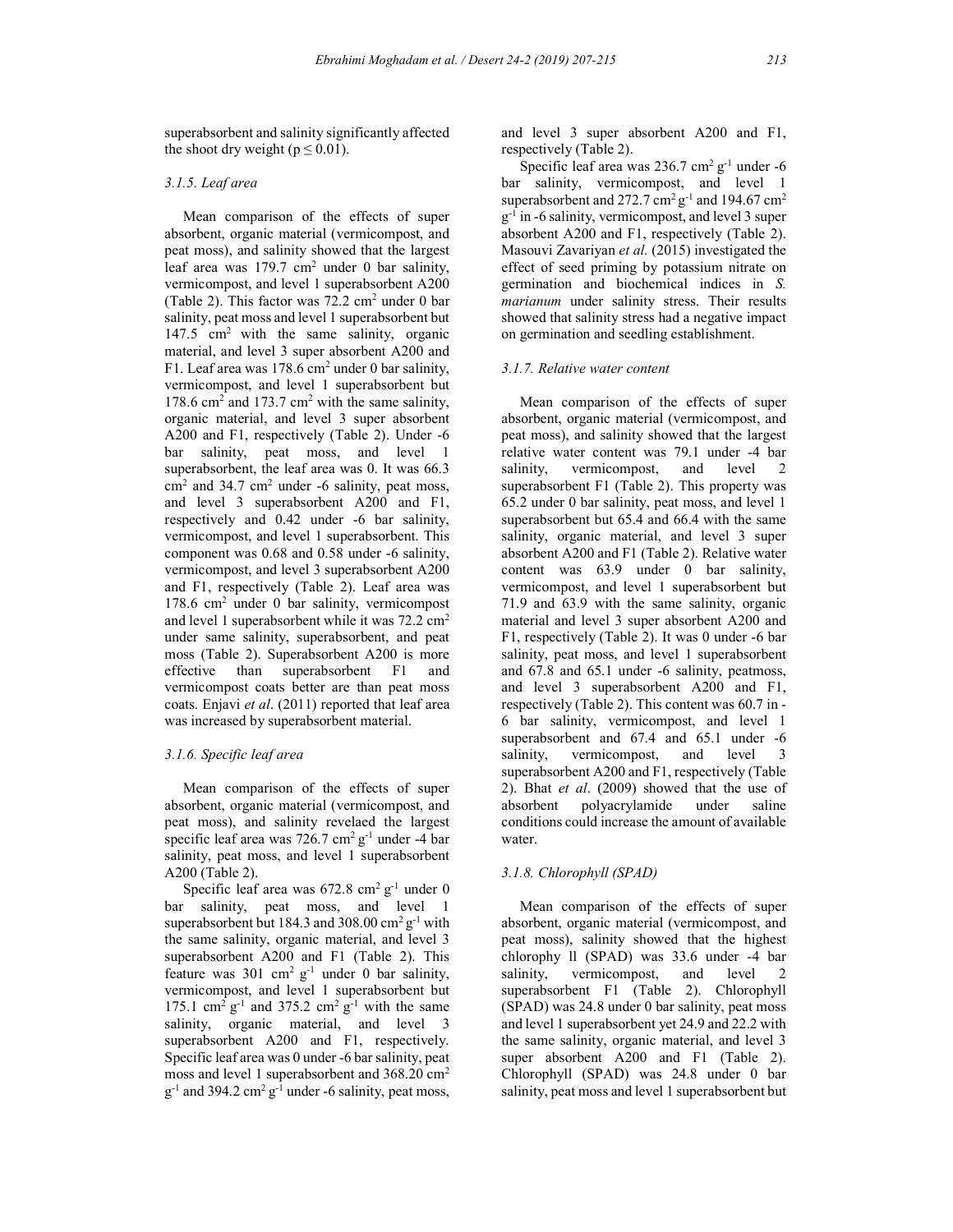superabsorbent and salinity significantly affected

## 3.1.5. Leaf area

the shoot dry weight ( $p \le 0.01$ ).

 Mean comparison of the effects of super absorbent, organic material (vermicompost, and peat moss), and salinity showed that the largest leaf area was 179.7 cm<sup>2</sup> under 0 bar salinity, vermicompost, and level 1 superabsorbent A200 (Table 2). This factor was  $72.2 \text{ cm}^2$  under 0 bar salinity, peat moss and level 1 superabsorbent but 147.5  $cm<sup>2</sup>$  with the same salinity, organic material, and level 3 super absorbent A200 and F1. Leaf area was 178.6 cm<sup>2</sup> under 0 bar salinity, vermicompost, and level 1 superabsorbent but 178.6 cm<sup>2</sup> and 173.7 cm<sup>2</sup> with the same salinity, organic material, and level 3 super absorbent A200 and F1, respectively (Table 2). Under -6 bar salinity, peat moss, and level 1 superabsorbent, the leaf area was 0. It was 66.3  $\text{cm}^2$  and 34.7 cm<sup>2</sup> under -6 salinity, peat moss, and level 3 superabsorbent A200 and F1, respectively and 0.42 under -6 bar salinity, vermicompost, and level 1 superabsorbent. This component was 0.68 and 0.58 under -6 salinity, vermicompost, and level 3 superabsorbent A200 and F1, respectively (Table 2). Leaf area was 178.6 cm<sup>2</sup> under 0 bar salinity, vermicompost and level 1 superabsorbent while it was 72.2 cm<sup>2</sup> under same salinity, superabsorbent, and peat moss (Table 2). Superabsorbent A200 is more effective than superabsorbent F1 and vermicompost coats better are than peat moss coats. Enjavi et al. (2011) reported that leaf area was increased by superabsorbent material.

#### 3.1.6. Specific leaf area

 Mean comparison of the effects of super absorbent, organic material (vermicompost, and peat moss), and salinity revelaed the largest specific leaf area was  $726.7 \text{ cm}^2 \text{ g}^{-1}$  under -4 bar salinity, peat moss, and level 1 superabsorbent A200 (Table 2).

Specific leaf area was  $672.8 \text{ cm}^2 \text{ g}^{-1}$  under 0 bar salinity, peat moss, and level 1 superabsorbent but 184.3 and 308.00  $\text{cm}^2 \text{g}^{-1}$  with the same salinity, organic material, and level 3 superabsorbent A200 and F1 (Table 2). This feature was 301 cm<sup>2</sup> g<sup>-1</sup> under 0 bar salinity, vermicompost, and level 1 superabsorbent but 175.1 cm<sup>2</sup> g<sup>-1</sup> and 375.2 cm<sup>2</sup> g<sup>-1</sup> with the same salinity, organic material, and level 3 superabsorbent A200 and F1, respectively. Specific leaf area was 0 under -6 bar salinity, peat moss and level 1 superabsorbent and 368.20 cm<sup>2</sup>  $g^{-1}$  and 394.2 cm<sup>2</sup>  $g^{-1}$  under -6 salinity, peat moss, and level 3 super absorbent A200 and F1, respectively (Table 2).

Specific leaf area was  $236.7 \text{ cm}^2 \text{ g}^{-1}$  under -6 bar salinity, vermicompost, and level 1 superabsorbent and 272.7 cm<sup>2</sup> g<sup>-1</sup> and 194.67 cm<sup>2</sup> g -1 in -6 salinity, vermicompost, and level 3 super absorbent A200 and F1, respectively (Table 2). Masouvi Zavariyan et al. (2015) investigated the effect of seed priming by potassium nitrate on germination and biochemical indices in S. marianum under salinity stress. Their results showed that salinity stress had a negative impact on germination and seedling establishment.

### 3.1.7. Relative water content

 Mean comparison of the effects of super absorbent, organic material (vermicompost, and peat moss), and salinity showed that the largest relative water content was 79.1 under -4 bar salinity, vermicompost, and level 2 superabsorbent F1 (Table 2). This property was 65.2 under 0 bar salinity, peat moss, and level 1 superabsorbent but 65.4 and 66.4 with the same salinity, organic material, and level 3 super absorbent A200 and F1 (Table 2). Relative water content was 63.9 under 0 bar salinity, vermicompost, and level 1 superabsorbent but 71.9 and 63.9 with the same salinity, organic material and level 3 super absorbent A200 and F1, respectively (Table 2). It was 0 under -6 bar salinity, peat moss, and level 1 superabsorbent and 67.8 and 65.1 under -6 salinity, peatmoss, and level 3 superabsorbent A200 and F1, respectively (Table 2). This content was 60.7 in - 6 bar salinity, vermicompost, and level 1 superabsorbent and 67.4 and 65.1 under -6 salinity, vermicompost, and level 3 superabsorbent A200 and F1, respectively (Table 2). Bhat et al. (2009) showed that the use of absorbent polyacrylamide under saline conditions could increase the amount of available water.

## 3.1.8. Chlorophyll (SPAD)

 Mean comparison of the effects of super absorbent, organic material (vermicompost, and peat moss), salinity showed that the highest chlorophy ll (SPAD) was 33.6 under -4 bar salinity, vermicompost, and level 2 superabsorbent F1 (Table 2). Chlorophyll (SPAD) was 24.8 under 0 bar salinity, peat moss and level 1 superabsorbent yet 24.9 and 22.2 with the same salinity, organic material, and level 3 super absorbent A200 and F1 (Table 2). Chlorophyll (SPAD) was 24.8 under 0 bar salinity, peat moss and level 1 superabsorbent but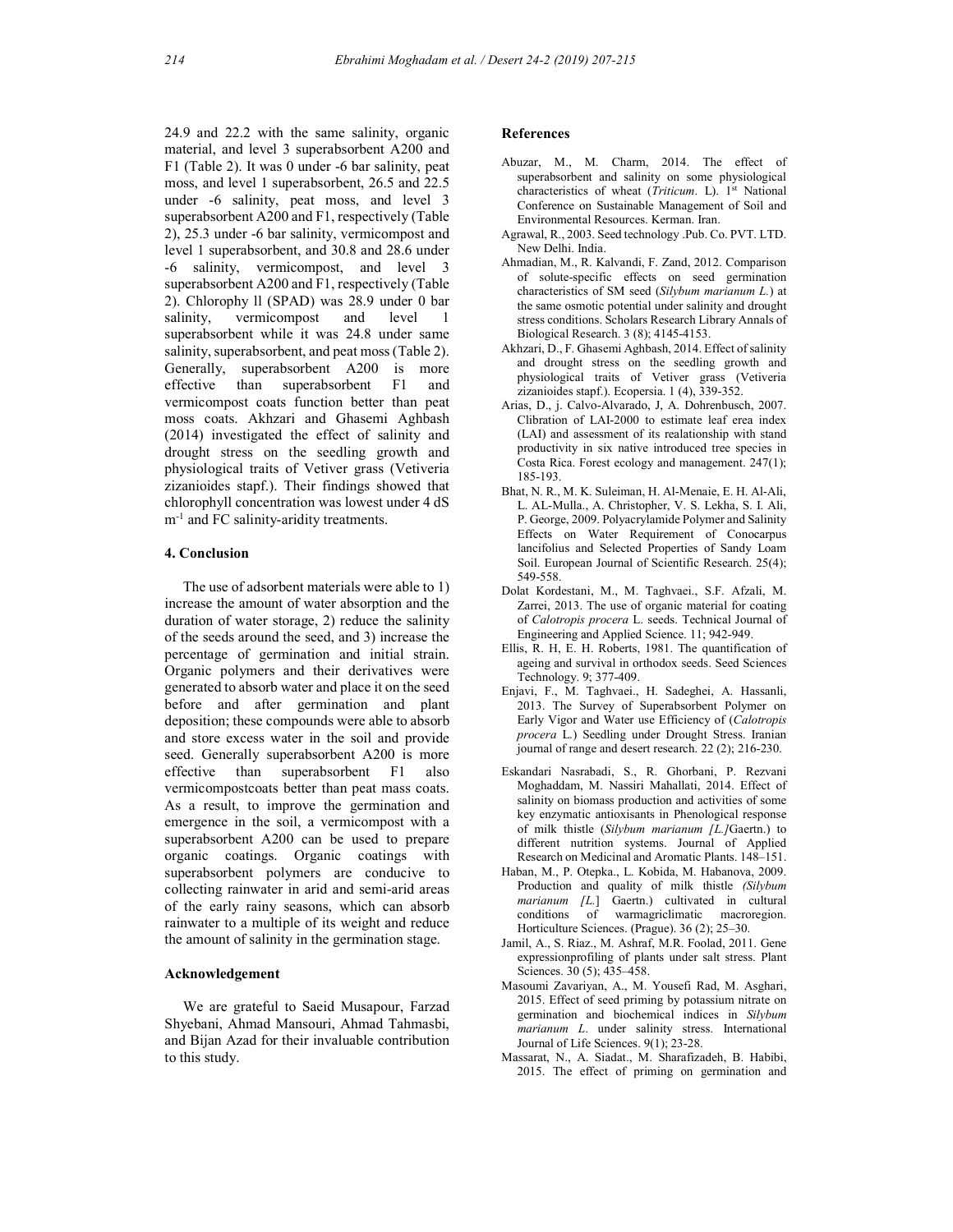24.9 and 22.2 with the same salinity, organic material, and level 3 superabsorbent A200 and F1 (Table 2). It was 0 under -6 bar salinity, peat moss, and level 1 superabsorbent, 26.5 and 22.5 under -6 salinity, peat moss, and level 3 superabsorbent A200 and F1, respectively (Table 2), 25.3 under -6 bar salinity, vermicompost and level 1 superabsorbent, and 30.8 and 28.6 under -6 salinity, vermicompost, and level 3 superabsorbent A200 and F1, respectively (Table 2). Chlorophy ll (SPAD) was 28.9 under 0 bar salinity, vermicompost and level 1 superabsorbent while it was 24.8 under same salinity, superabsorbent, and peat moss (Table 2). Generally, superabsorbent A200 is more effective than superabsorbent F1 and vermicompost coats function better than peat moss coats. Akhzari and Ghasemi Aghbash (2014) investigated the effect of salinity and drought stress on the seedling growth and physiological traits of Vetiver grass (Vetiveria zizanioides stapf.). Their findings showed that chlorophyll concentration was lowest under 4 dS  $m^{-1}$  and FC salinity-aridity treatments.

## 4. Conclusion

 The use of adsorbent materials were able to 1) increase the amount of water absorption and the duration of water storage, 2) reduce the salinity of the seeds around the seed, and 3) increase the percentage of germination and initial strain. Organic polymers and their derivatives were generated to absorb water and place it on the seed before and after germination and plant deposition; these compounds were able to absorb and store excess water in the soil and provide seed. Generally superabsorbent A200 is more effective than superabsorbent F1 also vermicompostcoats better than peat mass coats. As a result, to improve the germination and emergence in the soil, a vermicompost with a superabsorbent A200 can be used to prepare organic coatings. Organic coatings with superabsorbent polymers are conducive to collecting rainwater in arid and semi-arid areas of the early rainy seasons, which can absorb rainwater to a multiple of its weight and reduce the amount of salinity in the germination stage.

## Acknowledgement

 We are grateful to Saeid Musapour, Farzad Shyebani, Ahmad Mansouri, Ahmad Tahmasbi, and Bijan Azad for their invaluable contribution to this study.

#### **References**

- Abuzar, M., M. Charm, 2014. The effect of superabsorbent and salinity on some physiological characteristics of wheat (Triticum. L). 1<sup>st</sup> National Conference on Sustainable Management of Soil and Environmental Resources. Kerman. Iran.
- Agrawal, R., 2003. Seed technology .Pub. Co. PVT. LTD. New Delhi. India.
- Ahmadian, M., R. Kalvandi, F. Zand, 2012. Comparison of solute-specific effects on seed germination characteristics of SM seed (Silybum marianum L.) at the same osmotic potential under salinity and drought stress conditions. Scholars Research Library Annals of Biological Research. 3 (8); 4145-4153.
- Akhzari, D., F. Ghasemi Aghbash, 2014. Effect of salinity and drought stress on the seedling growth and physiological traits of Vetiver grass (Vetiveria zizanioides stapf.). Ecopersia. 1 (4), 339-352.
- Arias, D., j. Calvo-Alvarado, J, A. Dohrenbusch, 2007. Clibration of LAI-2000 to estimate leaf erea index (LAI) and assessment of its realationship with stand productivity in six native introduced tree species in Costa Rica. Forest ecology and management. 247(1); 185-193.
- Bhat, N. R., M. K. Suleiman, H. Al-Menaie, E. H. Al-Ali, L. AL-Mulla., A. Christopher, V. S. Lekha, S. I. Ali, P. George, 2009. Polyacrylamide Polymer and Salinity Effects on Water Requirement of Conocarpus lancifolius and Selected Properties of Sandy Loam Soil. European Journal of Scientific Research. 25(4); 549-558.
- Dolat Kordestani, M., M. Taghvaei., S.F. Afzali, M. Zarrei, 2013. The use of organic material for coating of Calotropis procera L. seeds. Technical Journal of Engineering and Applied Science. 11; 942-949.
- Ellis, R. H, E. H. Roberts, 1981. The quantification of ageing and survival in orthodox seeds. Seed Sciences Technology. 9; 377-409.
- Enjavi, F., M. Taghvaei., H. Sadeghei, A. Hassanli, 2013. The Survey of Superabsorbent Polymer on Early Vigor and Water use Efficiency of (Calotropis procera L.) Seedling under Drought Stress. Iranian journal of range and desert research. 22 (2); 216-230.
- Eskandari Nasrabadi, S., R. Ghorbani, P. Rezvani Moghaddam, M. Nassiri Mahallati, 2014. Effect of salinity on biomass production and activities of some key enzymatic antioxisants in Phenological response of milk thistle (Silybum marianum [L.]Gaertn.) to different nutrition systems. Journal of Applied Research on Medicinal and Aromatic Plants. 148–151.
- Haban, M., P. Otepka., L. Kobida, M. Habanova, 2009. Production and quality of milk thistle (Silybum marianum [L.] Gaertn.) cultivated in cultural conditions of warmagriclimatic macroregion. Horticulture Sciences. (Prague). 36 (2); 25–30.
- Jamil, A., S. Riaz., M. Ashraf, M.R. Foolad, 2011. Gene expressionprofiling of plants under salt stress. Plant Sciences. 30 (5); 435–458.
- Masoumi Zavariyan, A., M. Yousefi Rad, M. Asghari, 2015. Effect of seed priming by potassium nitrate on germination and biochemical indices in Silybum marianum L. under salinity stress. International Journal of Life Sciences. 9(1); 23-28.
- Massarat, N., A. Siadat., M. Sharafizadeh, B. Habibi, 2015. The effect of priming on germination and